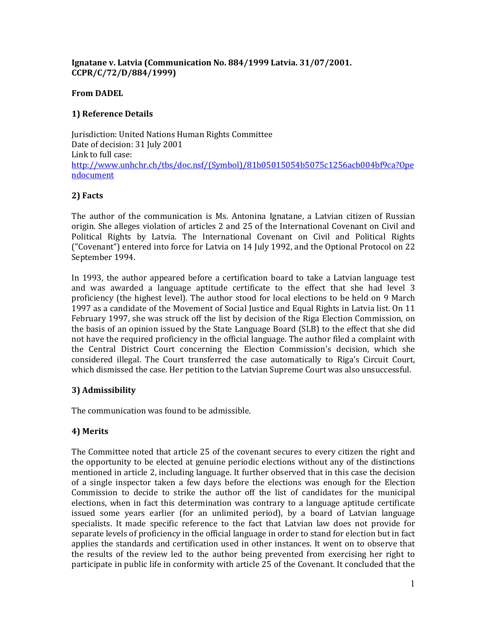#### Ignatane v. Latvia (Communication No. 884/1999 Latvia. 31/07/2001. CCPR/C/72/D/884/1999)

#### From DADEL

## 1) Reference Details

Jurisdiction: United Nations Human Rights Committee Date of decision: 31 July 2001 Link to full case: http://www.unhchr.ch/tbs/doc.nsf/(Symbol)/81b05015054b5075c1256acb004bf9ca?Ope ndocument

### 2) Facts

The author of the communication is Ms. Antonina Ignatane, a Latvian citizen of Russian origin. She alleges violation of articles 2 and 25 of the International Covenant on Civil and Political Rights by Latvia. The International Covenant on Civil and Political Rights ("Covenant") entered into force for Latvia on 14 July 1992, and the Optional Protocol on 22 September 1994.

In 1993, the author appeared before a certification board to take a Latvian language test and was awarded a language aptitude certificate to the effect that she had level 3 proficiency (the highest level). The author stood for local elections to be held on 9 March 1997 as a candidate of the Movement of Social Justice and Equal Rights in Latvia list. On 11 February 1997, she was struck off the list by decision of the Riga Election Commission, on the basis of an opinion issued by the State Language Board (SLB) to the effect that she did not have the required proficiency in the official language. The author filed a complaint with the Central District Court concerning the Election Commission's decision, which she considered illegal. The Court transferred the case automatically to Riga's Circuit Court, which dismissed the case. Her petition to the Latvian Supreme Court was also unsuccessful.

# 3) Admissibility

The communication was found to be admissible.

# 4) Merits

The Committee noted that article 25 of the covenant secures to every citizen the right and the opportunity to be elected at genuine periodic elections without any of the distinctions mentioned in article 2, including language. It further observed that in this case the decision of a single inspector taken a few days before the elections was enough for the Election Commission to decide to strike the author off the list of candidates for the municipal elections, when in fact this determination was contrary to a language aptitude certificate issued some years earlier (for an unlimited period), by a board of Latvian language specialists. It made specific reference to the fact that Latvian law does not provide for separate levels of proficiency in the official language in order to stand for election but in fact applies the standards and certification used in other instances. It went on to observe that the results of the review led to the author being prevented from exercising her right to participate in public life in conformity with article 25 of the Covenant. It concluded that the